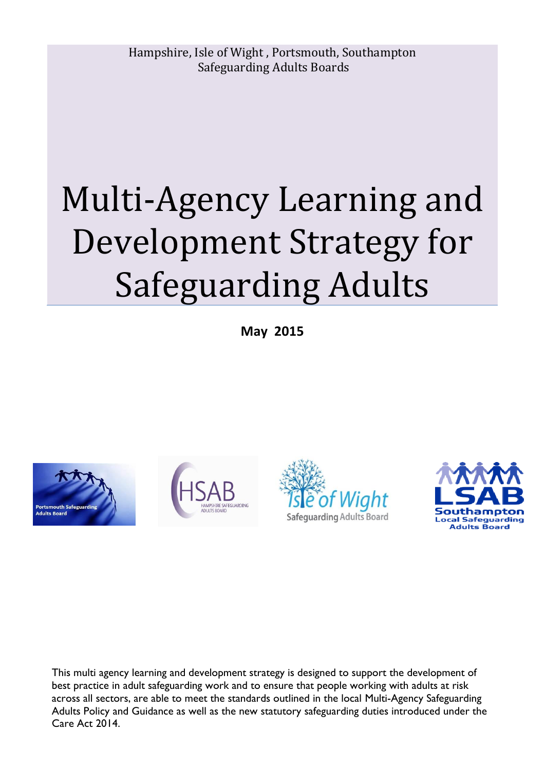# Multi-Agency Learning and Development Strategy for Safeguarding Adults

**May 2015** 









This multi agency learning and development strategy is designed to support the development of best practice in adult safeguarding work and to ensure that people working with adults at risk across all sectors, are able to meet the standards outlined in the local Multi-Agency Safeguarding Adults Policy and Guidance as well as the new statutory safeguarding duties introduced under the Care Act 2014.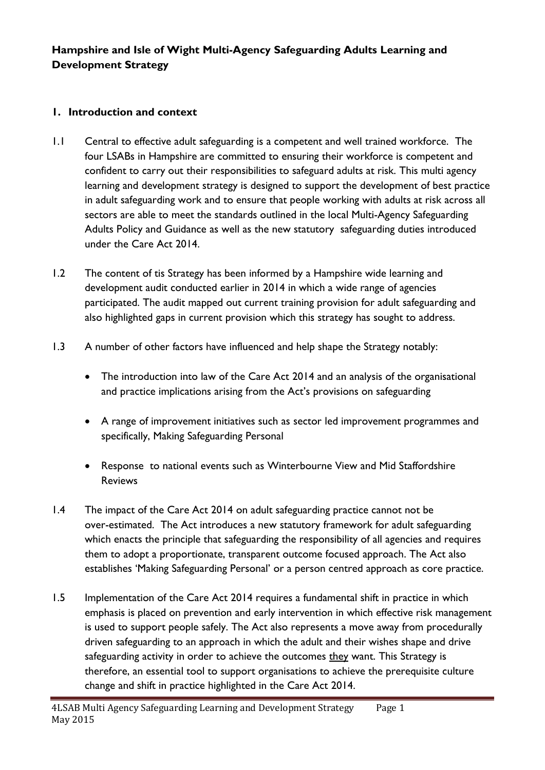# **Hampshire and Isle of Wight Multi-Agency Safeguarding Adults Learning and Development Strategy**

## **1. Introduction and context**

- 1.1 Central to effective adult safeguarding is a competent and well trained workforce. The four LSABs in Hampshire are committed to ensuring their workforce is competent and confident to carry out their responsibilities to safeguard adults at risk. This multi agency learning and development strategy is designed to support the development of best practice in adult safeguarding work and to ensure that people working with adults at risk across all sectors are able to meet the standards outlined in the local Multi-Agency Safeguarding Adults Policy and Guidance as well as the new statutory safeguarding duties introduced under the Care Act 2014.
- 1.2 The content of tis Strategy has been informed by a Hampshire wide learning and development audit conducted earlier in 2014 in which a wide range of agencies participated. The audit mapped out current training provision for adult safeguarding and also highlighted gaps in current provision which this strategy has sought to address.
- 1.3 A number of other factors have influenced and help shape the Strategy notably:
	- The introduction into law of the Care Act 2014 and an analysis of the organisational and practice implications arising from the Act's provisions on safeguarding
	- A range of improvement initiatives such as sector led improvement programmes and specifically, Making Safeguarding Personal
	- Response to national events such as Winterbourne View and Mid Staffordshire Reviews
- 1.4 The impact of the Care Act 2014 on adult safeguarding practice cannot not be over-estimated. The Act introduces a new statutory framework for adult safeguarding which enacts the principle that safeguarding the responsibility of all agencies and requires them to adopt a proportionate, transparent outcome focused approach. The Act also establishes 'Making Safeguarding Personal' or a person centred approach as core practice.
- 1.5 Implementation of the Care Act 2014 requires a fundamental shift in practice in which emphasis is placed on prevention and early intervention in which effective risk management is used to support people safely. The Act also represents a move away from procedurally driven safeguarding to an approach in which the adult and their wishes shape and drive safeguarding activity in order to achieve the outcomes they want. This Strategy is therefore, an essential tool to support organisations to achieve the prerequisite culture change and shift in practice highlighted in the Care Act 2014.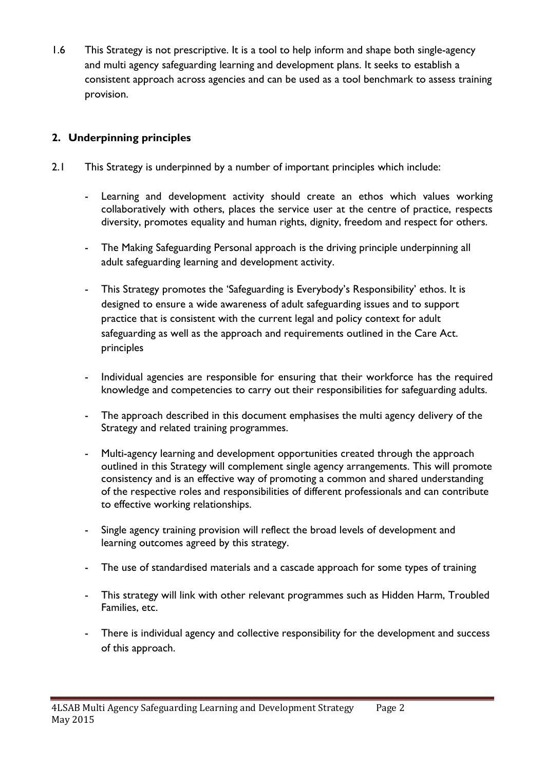1.6 This Strategy is not prescriptive. It is a tool to help inform and shape both single-agency and multi agency safeguarding learning and development plans. It seeks to establish a consistent approach across agencies and can be used as a tool benchmark to assess training provision.

# **2. Underpinning principles**

- 2.1 This Strategy is underpinned by a number of important principles which include:
	- Learning and development activity should create an ethos which values working collaboratively with others, places the service user at the centre of practice, respects diversity, promotes equality and human rights, dignity, freedom and respect for others.
	- The Making Safeguarding Personal approach is the driving principle underpinning all adult safeguarding learning and development activity.
	- This Strategy promotes the 'Safeguarding is Everybody's Responsibility' ethos. It is designed to ensure a wide awareness of adult safeguarding issues and to support practice that is consistent with the current legal and policy context for adult safeguarding as well as the approach and requirements outlined in the Care Act. principles
	- Individual agencies are responsible for ensuring that their workforce has the required knowledge and competencies to carry out their responsibilities for safeguarding adults.
	- The approach described in this document emphasises the multi agency delivery of the Strategy and related training programmes.
	- Multi-agency learning and development opportunities created through the approach outlined in this Strategy will complement single agency arrangements. This will promote consistency and is an effective way of promoting a common and shared understanding of the respective roles and responsibilities of different professionals and can contribute to effective working relationships.
	- Single agency training provision will reflect the broad levels of development and learning outcomes agreed by this strategy.
	- The use of standardised materials and a cascade approach for some types of training
	- This strategy will link with other relevant programmes such as Hidden Harm, Troubled Families, etc.
	- There is individual agency and collective responsibility for the development and success of this approach.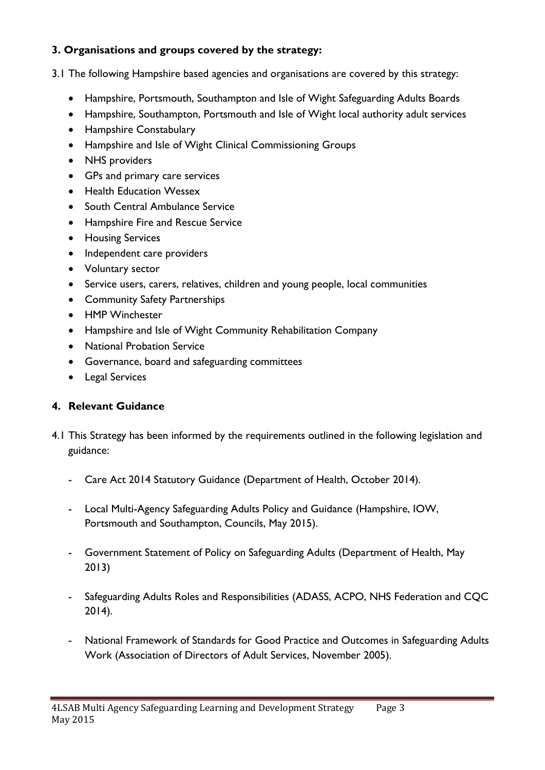## **3. Organisations and groups covered by the strategy:**

- 3.1 The following Hampshire based agencies and organisations are covered by this strategy:
	- Hampshire, Portsmouth, Southampton and Isle of Wight Safeguarding Adults Boards
	- Hampshire, Southampton, Portsmouth and Isle of Wight local authority adult services
	- Hampshire Constabulary
	- Hampshire and Isle of Wight Clinical Commissioning Groups
	- NHS providers
	- GPs and primary care services
	- Health Education Wessex
	- South Central Ambulance Service
	- Hampshire Fire and Rescue Service
	- **•** Housing Services
	- Independent care providers
	- Voluntary sector
	- Service users, carers, relatives, children and young people, local communities
	- Community Safety Partnerships
	- HMP Winchester
	- Hampshire and Isle of Wight Community Rehabilitation Company
	- National Probation Service
	- Governance, board and safeguarding committees
	- Legal Services

## **4. Relevant Guidance**

- 4.1 This Strategy has been informed by the requirements outlined in the following legislation and guidance:
	- Care Act 2014 Statutory Guidance (Department of Health, October 2014).
	- Local Multi-Agency Safeguarding Adults Policy and Guidance (Hampshire, IOW, Portsmouth and Southampton, Councils, May 2015).
	- Government Statement of Policy on Safeguarding Adults (Department of Health, May 2013)
	- Safeguarding Adults Roles and Responsibilities (ADASS, ACPO, NHS Federation and CQC 2014).
	- National Framework of Standards for Good Practice and Outcomes in Safeguarding Adults Work (Association of Directors of Adult Services, November 2005).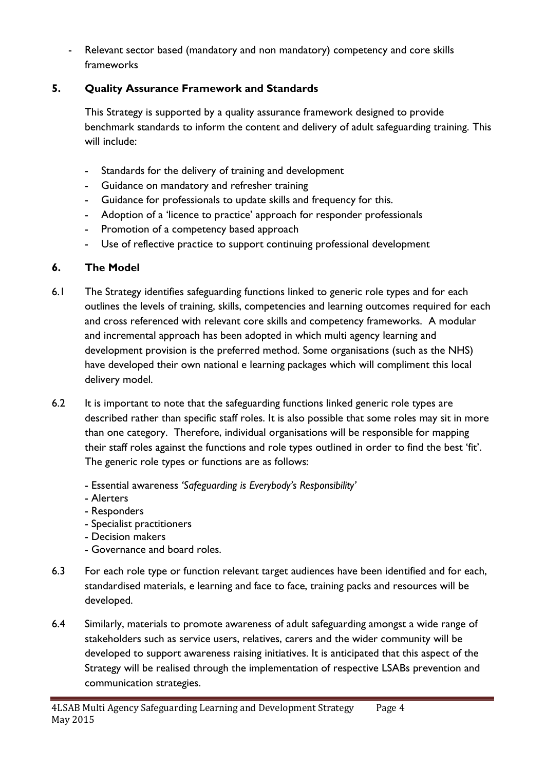- Relevant sector based (mandatory and non mandatory) competency and core skills frameworks

# **5. Quality Assurance Framework and Standards**

This Strategy is supported by a quality assurance framework designed to provide benchmark standards to inform the content and delivery of adult safeguarding training. This will include:

- Standards for the delivery of training and development
- Guidance on mandatory and refresher training
- Guidance for professionals to update skills and frequency for this.
- Adoption of a 'licence to practice' approach for responder professionals
- Promotion of a competency based approach
- Use of reflective practice to support continuing professional development

# **6. The Model**

- 6.1 The Strategy identifies safeguarding functions linked to generic role types and for each outlines the levels of training, skills, competencies and learning outcomes required for each and cross referenced with relevant core skills and competency frameworks. A modular and incremental approach has been adopted in which multi agency learning and development provision is the preferred method. Some organisations (such as the NHS) have developed their own national e learning packages which will compliment this local delivery model.
- 6.2 It is important to note that the safeguarding functions linked generic role types are described rather than specific staff roles. It is also possible that some roles may sit in more than one category. Therefore, individual organisations will be responsible for mapping their staff roles against the functions and role types outlined in order to find the best 'fit'. The generic role types or functions are as follows:
	- Essential awareness *'Safeguarding is Everybody's Responsibility'*
	- Alerters
	- Responders
	- Specialist practitioners
	- Decision makers
	- Governance and board roles.
- 6.3 For each role type or function relevant target audiences have been identified and for each, standardised materials, e learning and face to face, training packs and resources will be developed.
- 6.4 Similarly, materials to promote awareness of adult safeguarding amongst a wide range of stakeholders such as service users, relatives, carers and the wider community will be developed to support awareness raising initiatives. It is anticipated that this aspect of the Strategy will be realised through the implementation of respective LSABs prevention and communication strategies.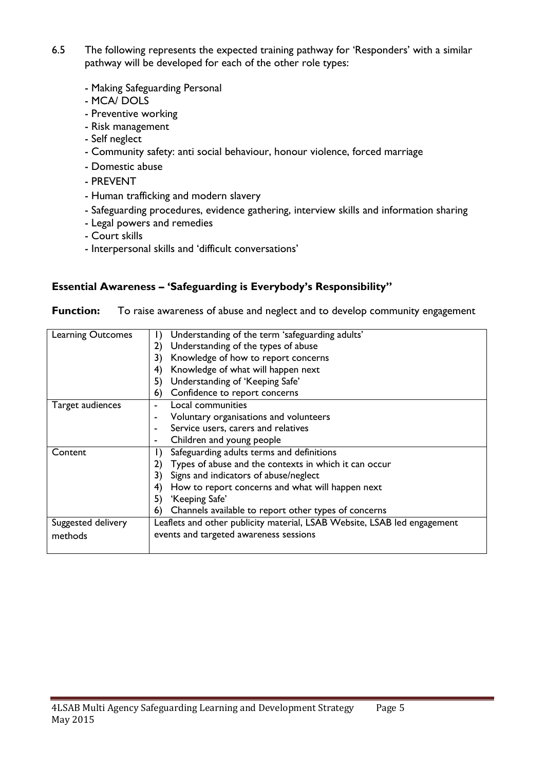- 6.5 The following represents the expected training pathway for 'Responders' with a similar pathway will be developed for each of the other role types:
	- Making Safeguarding Personal
	- MCA/ DOLS
	- Preventive working
	- Risk management
	- Self neglect
	- Community safety: anti social behaviour, honour violence, forced marriage
	- Domestic abuse
	- PREVENT
	- Human trafficking and modern slavery
	- Safeguarding procedures, evidence gathering, interview skills and information sharing
	- Legal powers and remedies
	- Court skills
	- Interpersonal skills and 'difficult conversations'

#### **Essential Awareness – 'Safeguarding is Everybody's Responsibility''**

**Function:** To raise awareness of abuse and neglect and to develop community engagement

| <b>Learning Outcomes</b> | Understanding of the term 'safeguarding adults'                          |
|--------------------------|--------------------------------------------------------------------------|
|                          | Understanding of the types of abuse<br>2)                                |
|                          | Knowledge of how to report concerns                                      |
|                          | Knowledge of what will happen next<br>4)                                 |
|                          | Understanding of 'Keeping Safe'<br>5)                                    |
|                          | Confidence to report concerns<br>6)                                      |
| Target audiences         | Local communities                                                        |
|                          | Voluntary organisations and volunteers                                   |
|                          | Service users, carers and relatives                                      |
|                          | Children and young people<br>۰                                           |
| Content                  | Safeguarding adults terms and definitions                                |
|                          | Types of abuse and the contexts in which it can occur<br>2)              |
|                          | Signs and indicators of abuse/neglect<br>3)                              |
|                          | How to report concerns and what will happen next<br>4)                   |
|                          | 'Keeping Safe'<br>5)                                                     |
|                          | Channels available to report other types of concerns<br>6)               |
| Suggested delivery       | Leaflets and other publicity material, LSAB Website, LSAB led engagement |
| methods                  | events and targeted awareness sessions                                   |
|                          |                                                                          |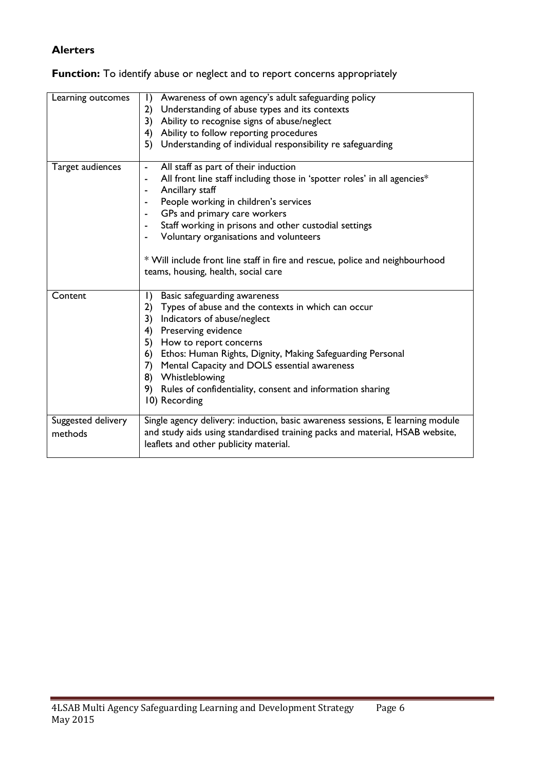#### **Alerters**

#### **Function:** To identify abuse or neglect and to report concerns appropriately

| Learning outcomes  | $\vert$<br>Awareness of own agency's adult safeguarding policy                                                      |
|--------------------|---------------------------------------------------------------------------------------------------------------------|
|                    | 2)<br>Understanding of abuse types and its contexts                                                                 |
|                    | Ability to recognise signs of abuse/neglect<br>3)                                                                   |
|                    | Ability to follow reporting procedures<br>4)                                                                        |
|                    | 5) Understanding of individual responsibility re safeguarding                                                       |
| Target audiences   | All staff as part of their induction<br>$\frac{1}{2}$                                                               |
|                    | All front line staff including those in 'spotter roles' in all agencies*<br>$\blacksquare$                          |
|                    | Ancillary staff                                                                                                     |
|                    | People working in children's services                                                                               |
|                    | GPs and primary care workers<br>$\blacksquare$                                                                      |
|                    | Staff working in prisons and other custodial settings                                                               |
|                    | Voluntary organisations and volunteers                                                                              |
|                    | * Will include front line staff in fire and rescue, police and neighbourhood<br>teams, housing, health, social care |
| Content            | Basic safeguarding awareness<br>$\vert$ )                                                                           |
|                    | Types of abuse and the contexts in which can occur<br>2)                                                            |
|                    | 3)<br>Indicators of abuse/neglect                                                                                   |
|                    | Preserving evidence<br>4)                                                                                           |
|                    | 5) How to report concerns                                                                                           |
|                    | Ethos: Human Rights, Dignity, Making Safeguarding Personal<br>6)                                                    |
|                    | 7) Mental Capacity and DOLS essential awareness                                                                     |
|                    | 8) Whistleblowing                                                                                                   |
|                    | 9) Rules of confidentiality, consent and information sharing                                                        |
|                    | 10) Recording                                                                                                       |
| Suggested delivery | Single agency delivery: induction, basic awareness sessions, E learning module                                      |
| methods            | and study aids using standardised training packs and material, HSAB website,                                        |
|                    | leaflets and other publicity material.                                                                              |
|                    |                                                                                                                     |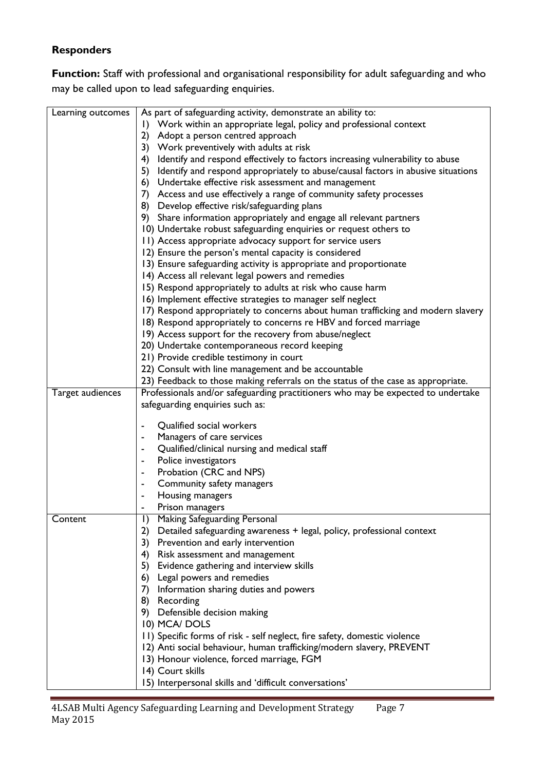## **Responders**

Function: Staff with professional and organisational responsibility for adult safeguarding and who may be called upon to lead safeguarding enquiries.

| Learning outcomes | As part of safeguarding activity, demonstrate an ability to:                        |
|-------------------|-------------------------------------------------------------------------------------|
|                   | I) Work within an appropriate legal, policy and professional context                |
|                   | 2) Adopt a person centred approach                                                  |
|                   | 3) Work preventively with adults at risk                                            |
|                   | 4) Identify and respond effectively to factors increasing vulnerability to abuse    |
|                   | 5) Identify and respond appropriately to abuse/causal factors in abusive situations |
|                   | 6) Undertake effective risk assessment and management                               |
|                   | 7) Access and use effectively a range of community safety processes                 |
|                   | 8) Develop effective risk/safeguarding plans                                        |
|                   | 9) Share information appropriately and engage all relevant partners                 |
|                   | 10) Undertake robust safeguarding enquiries or request others to                    |
|                   | 11) Access appropriate advocacy support for service users                           |
|                   | 12) Ensure the person's mental capacity is considered                               |
|                   | 13) Ensure safeguarding activity is appropriate and proportionate                   |
|                   | 14) Access all relevant legal powers and remedies                                   |
|                   | 15) Respond appropriately to adults at risk who cause harm                          |
|                   | 16) Implement effective strategies to manager self neglect                          |
|                   | 17) Respond appropriately to concerns about human trafficking and modern slavery    |
|                   | 18) Respond appropriately to concerns re HBV and forced marriage                    |
|                   | 19) Access support for the recovery from abuse/neglect                              |
|                   | 20) Undertake contemporaneous record keeping                                        |
|                   | 21) Provide credible testimony in court                                             |
|                   | 22) Consult with line management and be accountable                                 |
|                   | 23) Feedback to those making referrals on the status of the case as appropriate.    |
| Target audiences  | Professionals and/or safeguarding practitioners who may be expected to undertake    |
|                   | safeguarding enquiries such as:                                                     |
|                   | Qualified social workers<br>٠                                                       |
|                   | Managers of care services<br>$\blacksquare$                                         |
|                   | Qualified/clinical nursing and medical staff                                        |
|                   | Police investigators                                                                |
|                   | Probation (CRC and NPS)                                                             |
|                   | Community safety managers<br>$\blacksquare$                                         |
|                   | Housing managers                                                                    |
|                   | Prison managers<br>۰                                                                |
| Content           | Making Safeguarding Personal<br>$\mathsf{I}$                                        |
|                   | 2) Detailed safeguarding awareness + legal, policy, professional context            |
|                   | 3) Prevention and early intervention                                                |
|                   | 4) Risk assessment and management                                                   |
|                   | 5) Evidence gathering and interview skills                                          |
|                   | 6) Legal powers and remedies                                                        |
|                   | 7)<br>Information sharing duties and powers                                         |
|                   | 8) Recording                                                                        |
|                   | 9) Defensible decision making                                                       |
|                   | 10) MCA/DOLS                                                                        |
|                   | 11) Specific forms of risk - self neglect, fire safety, domestic violence           |
|                   | 12) Anti social behaviour, human trafficking/modern slavery, PREVENT                |
|                   | 13) Honour violence, forced marriage, FGM                                           |
|                   | 14) Court skills                                                                    |
|                   | 15) Interpersonal skills and 'difficult conversations'                              |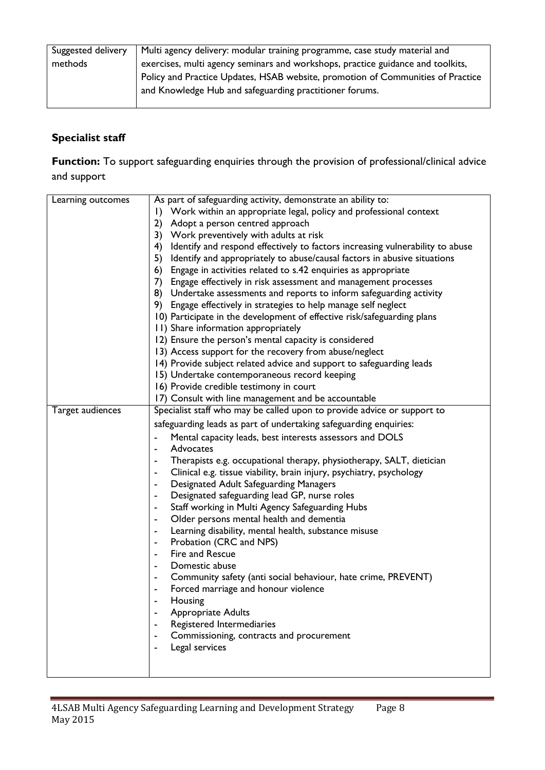| Suggested delivery | Multi agency delivery: modular training programme, case study material and      |
|--------------------|---------------------------------------------------------------------------------|
| methods            | exercises, multi agency seminars and workshops, practice guidance and toolkits, |
|                    | Policy and Practice Updates, HSAB website, promotion of Communities of Practice |
|                    | and Knowledge Hub and safeguarding practitioner forums.                         |
|                    |                                                                                 |

# **Specialist staff**

**Function:** To support safeguarding enquiries through the provision of professional/clinical advice and support

| Learning outcomes | As part of safeguarding activity, demonstrate an ability to:                     |
|-------------------|----------------------------------------------------------------------------------|
|                   | Work within an appropriate legal, policy and professional context<br>$\Box$      |
|                   | Adopt a person centred approach<br>2)                                            |
|                   | 3) Work preventively with adults at risk                                         |
|                   | 4) Identify and respond effectively to factors increasing vulnerability to abuse |
|                   | 5) Identify and appropriately to abuse/causal factors in abusive situations      |
|                   | 6) Engage in activities related to s.42 enquiries as appropriate                 |
|                   | 7) Engage effectively in risk assessment and management processes                |
|                   | 8) Undertake assessments and reports to inform safeguarding activity             |
|                   | 9) Engage effectively in strategies to help manage self neglect                  |
|                   | 10) Participate in the development of effective risk/safeguarding plans          |
|                   | 11) Share information appropriately                                              |
|                   | 12) Ensure the person's mental capacity is considered                            |
|                   | 13) Access support for the recovery from abuse/neglect                           |
|                   | 14) Provide subject related advice and support to safeguarding leads             |
|                   | 15) Undertake contemporaneous record keeping                                     |
|                   | 16) Provide credible testimony in court                                          |
|                   | 17) Consult with line management and be accountable                              |
| Target audiences  | Specialist staff who may be called upon to provide advice or support to          |
|                   | safeguarding leads as part of undertaking safeguarding enquiries:                |
|                   | Mental capacity leads, best interests assessors and DOLS<br>$\blacksquare$       |
|                   | Advocates<br>$\blacksquare$                                                      |
|                   | Therapists e.g. occupational therapy, physiotherapy, SALT, dietician             |
|                   | Clinical e.g. tissue viability, brain injury, psychiatry, psychology<br>٠        |
|                   | Designated Adult Safeguarding Managers<br>$\blacksquare$                         |
|                   | Designated safeguarding lead GP, nurse roles<br>$\blacksquare$                   |
|                   | Staff working in Multi Agency Safeguarding Hubs                                  |
|                   | Older persons mental health and dementia<br>$\blacksquare$                       |
|                   | Learning disability, mental health, substance misuse<br>$\blacksquare$           |
|                   | Probation (CRC and NPS)<br>$\blacksquare$                                        |
|                   | Fire and Rescue                                                                  |
|                   | Domestic abuse                                                                   |
|                   | Community safety (anti social behaviour, hate crime, PREVENT)<br>۰               |
|                   | Forced marriage and honour violence                                              |
|                   | Housing                                                                          |
|                   | Appropriate Adults                                                               |
|                   | Registered Intermediaries                                                        |
|                   | Commissioning, contracts and procurement                                         |
|                   | Legal services                                                                   |
|                   |                                                                                  |
|                   |                                                                                  |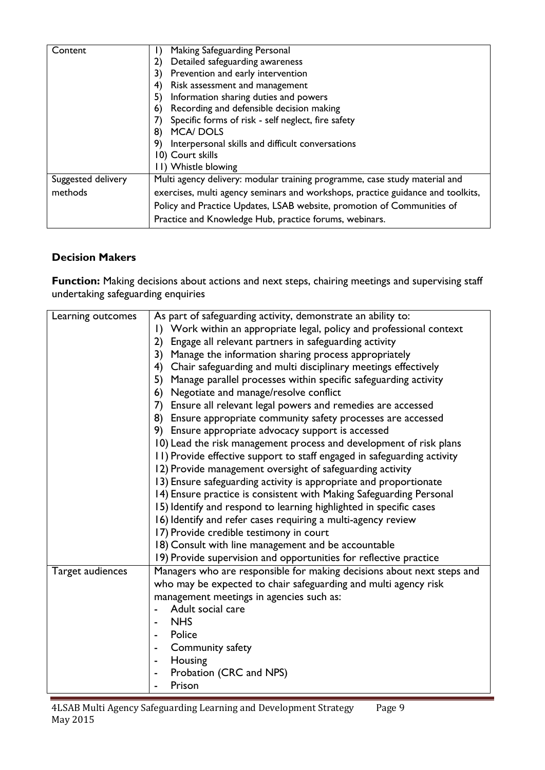| Content            | Making Safeguarding Personal                                                    |
|--------------------|---------------------------------------------------------------------------------|
|                    | Detailed safeguarding awareness<br>2)                                           |
|                    | Prevention and early intervention<br>3)                                         |
|                    | Risk assessment and management<br>4)                                            |
|                    | Information sharing duties and powers<br>5)                                     |
|                    | Recording and defensible decision making<br>6)                                  |
|                    | Specific forms of risk - self neglect, fire safety                              |
|                    | <b>MCA/DOLS</b><br>8)                                                           |
|                    | Interpersonal skills and difficult conversations<br>9)                          |
|                    | 10) Court skills                                                                |
|                    | 11) Whistle blowing                                                             |
| Suggested delivery | Multi agency delivery: modular training programme, case study material and      |
| methods            | exercises, multi agency seminars and workshops, practice guidance and toolkits, |
|                    | Policy and Practice Updates, LSAB website, promotion of Communities of          |
|                    | Practice and Knowledge Hub, practice forums, webinars.                          |

## **Decision Makers**

Function: Making decisions about actions and next steps, chairing meetings and supervising staff undertaking safeguarding enquiries

| Learning outcomes | As part of safeguarding activity, demonstrate an ability to:            |
|-------------------|-------------------------------------------------------------------------|
|                   | I) Work within an appropriate legal, policy and professional context    |
|                   | Engage all relevant partners in safeguarding activity<br>2)             |
|                   | Manage the information sharing process appropriately<br>3)              |
|                   | Chair safeguarding and multi disciplinary meetings effectively<br>4)    |
|                   | 5)<br>Manage parallel processes within specific safeguarding activity   |
|                   | Negotiate and manage/resolve conflict<br>6)                             |
|                   | Ensure all relevant legal powers and remedies are accessed<br>7)        |
|                   | 8) Ensure appropriate community safety processes are accessed           |
|                   | 9) Ensure appropriate advocacy support is accessed                      |
|                   | 10) Lead the risk management process and development of risk plans      |
|                   | 11) Provide effective support to staff engaged in safeguarding activity |
|                   | 12) Provide management oversight of safeguarding activity               |
|                   | 13) Ensure safeguarding activity is appropriate and proportionate       |
|                   | 14) Ensure practice is consistent with Making Safeguarding Personal     |
|                   | 15) Identify and respond to learning highlighted in specific cases      |
|                   | 16) Identify and refer cases requiring a multi-agency review            |
|                   | 17) Provide credible testimony in court                                 |
|                   | 18) Consult with line management and be accountable                     |
|                   | 19) Provide supervision and opportunities for reflective practice       |
| Target audiences  | Managers who are responsible for making decisions about next steps and  |
|                   | who may be expected to chair safeguarding and multi agency risk         |
|                   | management meetings in agencies such as:                                |
|                   | Adult social care                                                       |
|                   | <b>NHS</b>                                                              |
|                   | Police                                                                  |
|                   | Community safety                                                        |
|                   | Housing                                                                 |
|                   | Probation (CRC and NPS)                                                 |
|                   | Prison                                                                  |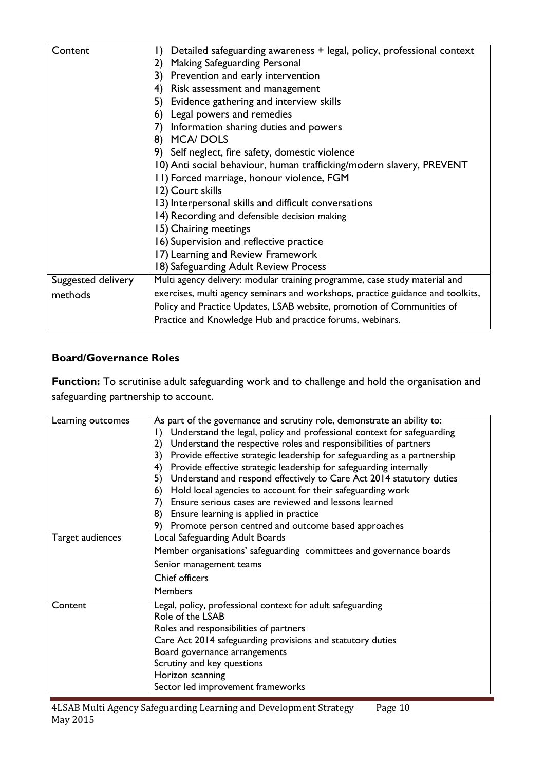| Content            | Detailed safeguarding awareness + legal, policy, professional context<br>$\vert$ ) |
|--------------------|------------------------------------------------------------------------------------|
|                    |                                                                                    |
|                    | Making Safeguarding Personal<br>2)                                                 |
|                    | 3)<br>Prevention and early intervention                                            |
|                    | Risk assessment and management<br>4)                                               |
|                    | Evidence gathering and interview skills<br>5)                                      |
|                    | Legal powers and remedies<br>6)                                                    |
|                    | Information sharing duties and powers<br>7)                                        |
|                    | <b>MCA/DOLS</b><br>8)                                                              |
|                    | 9) Self neglect, fire safety, domestic violence                                    |
|                    | 10) Anti social behaviour, human trafficking/modern slavery, PREVENT               |
|                    | 11) Forced marriage, honour violence, FGM                                          |
|                    | 12) Court skills                                                                   |
|                    | 13) Interpersonal skills and difficult conversations                               |
|                    | 14) Recording and defensible decision making                                       |
|                    | 15) Chairing meetings                                                              |
|                    | 16) Supervision and reflective practice                                            |
|                    | 17) Learning and Review Framework                                                  |
|                    | 18) Safeguarding Adult Review Process                                              |
| Suggested delivery | Multi agency delivery: modular training programme, case study material and         |
| methods            | exercises, multi agency seminars and workshops, practice guidance and toolkits,    |
|                    | Policy and Practice Updates, LSAB website, promotion of Communities of             |
|                    | Practice and Knowledge Hub and practice forums, webinars.                          |

## **Board/Governance Roles**

Function: To scrutinise adult safeguarding work and to challenge and hold the organisation and safeguarding partnership to account.

| Learning outcomes | As part of the governance and scrutiny role, demonstrate an ability to:<br>Understand the legal, policy and professional context for safeguarding<br>$\Box$<br>Understand the respective roles and responsibilities of partners<br>2)<br>Provide effective strategic leadership for safeguarding as a partnership<br>3)<br>Provide effective strategic leadership for safeguarding internally<br>4)<br>Understand and respond effectively to Care Act 2014 statutory duties<br>5)<br>Hold local agencies to account for their safeguarding work<br>6)<br>Ensure serious cases are reviewed and lessons learned<br>7)<br>8)<br>Ensure learning is applied in practice<br>9)<br>Promote person centred and outcome based approaches |
|-------------------|-----------------------------------------------------------------------------------------------------------------------------------------------------------------------------------------------------------------------------------------------------------------------------------------------------------------------------------------------------------------------------------------------------------------------------------------------------------------------------------------------------------------------------------------------------------------------------------------------------------------------------------------------------------------------------------------------------------------------------------|
| Target audiences  | Local Safeguarding Adult Boards<br>Member organisations' safeguarding committees and governance boards<br>Senior management teams<br>Chief officers<br><b>Members</b>                                                                                                                                                                                                                                                                                                                                                                                                                                                                                                                                                             |
| Content           | Legal, policy, professional context for adult safeguarding<br>Role of the LSAB<br>Roles and responsibilities of partners<br>Care Act 2014 safeguarding provisions and statutory duties<br>Board governance arrangements<br>Scrutiny and key questions<br>Horizon scanning<br>Sector led improvement frameworks                                                                                                                                                                                                                                                                                                                                                                                                                    |